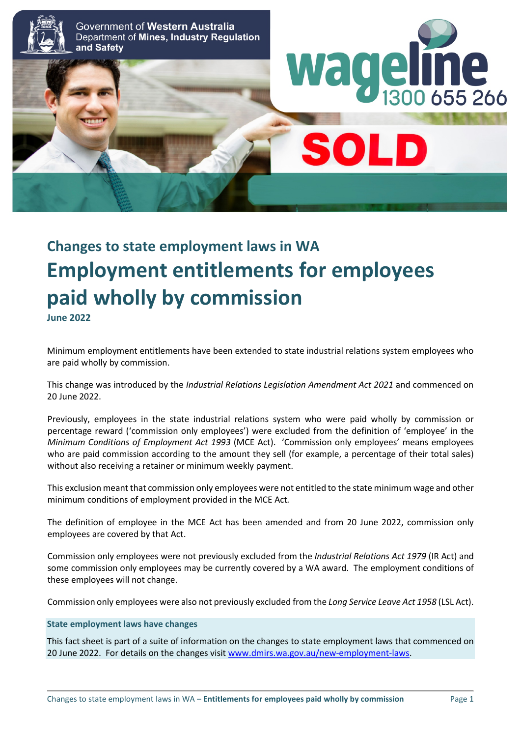

# **Changes to state employment laws in WA Employment entitlements for employees paid wholly by commission June 2022**

Minimum employment entitlements have been extended to state industrial relations system employees who are paid wholly by commission.

This change was introduced by the *Industrial Relations Legislation Amendment Act 2021* and commenced on 20 June 2022.

Previously, employees in the state industrial relations system who were paid wholly by commission or percentage reward ('commission only employees') were excluded from the definition of 'employee' in the *Minimum Conditions of Employment Act 1993* (MCE Act). 'Commission only employees' means employees who are paid commission according to the amount they sell (for example, a percentage of their total sales) without also receiving a retainer or minimum weekly payment.

This exclusion meant that commission only employees were not entitled to the state minimum wage and other minimum conditions of employment provided in the MCE Act*.*

The definition of employee in the MCE Act has been amended and from 20 June 2022, commission only employees are covered by that Act.

Commission only employees were not previously excluded from the *Industrial Relations Act 1979* (IR Act) and some commission only employees may be currently covered by a WA award. The employment conditions of these employees will not change.

Commission only employees were also not previously excluded from the *Long Service Leave Act 1958* (LSL Act).

### **State employment laws have changes**

This fact sheet is part of a suite of information on the changes to state employment laws that commenced on 20 June 2022. For details on the changes visi[t www.dmirs.wa.gov.au/new-employment-laws.](http://www.dmirs.wa.gov.au/new-employment-laws)